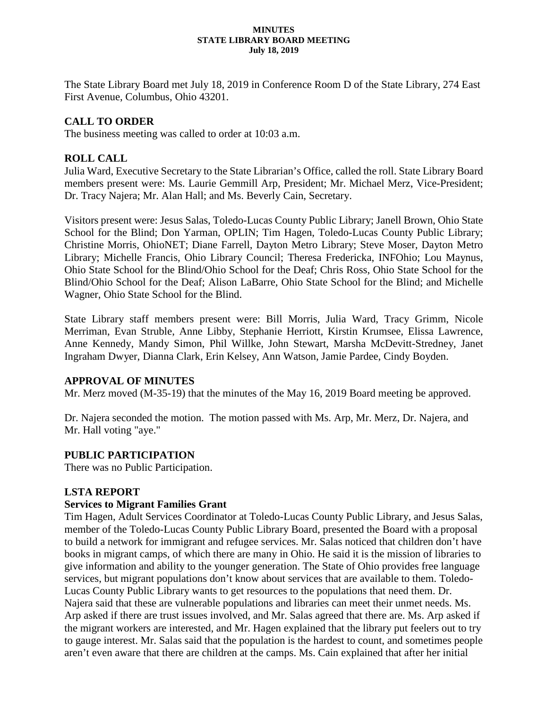#### **MINUTES STATE LIBRARY BOARD MEETING July 18, 2019**

The State Library Board met July 18, 2019 in Conference Room D of the State Library, 274 East First Avenue, Columbus, Ohio 43201.

# **CALL TO ORDER**

The business meeting was called to order at 10:03 a.m.

# **ROLL CALL**

Julia Ward, Executive Secretary to the State Librarian's Office, called the roll. State Library Board members present were: Ms. Laurie Gemmill Arp, President; Mr. Michael Merz, Vice-President; Dr. Tracy Najera; Mr. Alan Hall; and Ms. Beverly Cain, Secretary.

Visitors present were: Jesus Salas, Toledo-Lucas County Public Library; Janell Brown, Ohio State School for the Blind; Don Yarman, OPLIN; Tim Hagen, Toledo-Lucas County Public Library; Christine Morris, OhioNET; Diane Farrell, Dayton Metro Library; Steve Moser, Dayton Metro Library; Michelle Francis, Ohio Library Council; Theresa Fredericka, INFOhio; Lou Maynus, Ohio State School for the Blind/Ohio School for the Deaf; Chris Ross, Ohio State School for the Blind/Ohio School for the Deaf; Alison LaBarre, Ohio State School for the Blind; and Michelle Wagner, Ohio State School for the Blind.

State Library staff members present were: Bill Morris, Julia Ward, Tracy Grimm, Nicole Merriman, Evan Struble, Anne Libby, Stephanie Herriott, Kirstin Krumsee, Elissa Lawrence, Anne Kennedy, Mandy Simon, Phil Willke, John Stewart, Marsha McDevitt-Stredney, Janet Ingraham Dwyer, Dianna Clark, Erin Kelsey, Ann Watson, Jamie Pardee, Cindy Boyden.

# **APPROVAL OF MINUTES**

Mr. Merz moved (M-35-19) that the minutes of the May 16, 2019 Board meeting be approved.

Dr. Najera seconded the motion. The motion passed with Ms. Arp, Mr. Merz, Dr. Najera, and Mr. Hall voting "aye."

# **PUBLIC PARTICIPATION**

There was no Public Participation.

# **LSTA REPORT**

# **Services to Migrant Families Grant**

Tim Hagen, Adult Services Coordinator at Toledo-Lucas County Public Library, and Jesus Salas, member of the Toledo-Lucas County Public Library Board, presented the Board with a proposal to build a network for immigrant and refugee services. Mr. Salas noticed that children don't have books in migrant camps, of which there are many in Ohio. He said it is the mission of libraries to give information and ability to the younger generation. The State of Ohio provides free language services, but migrant populations don't know about services that are available to them. Toledo-Lucas County Public Library wants to get resources to the populations that need them. Dr. Najera said that these are vulnerable populations and libraries can meet their unmet needs. Ms. Arp asked if there are trust issues involved, and Mr. Salas agreed that there are. Ms. Arp asked if the migrant workers are interested, and Mr. Hagen explained that the library put feelers out to try to gauge interest. Mr. Salas said that the population is the hardest to count, and sometimes people aren't even aware that there are children at the camps. Ms. Cain explained that after her initial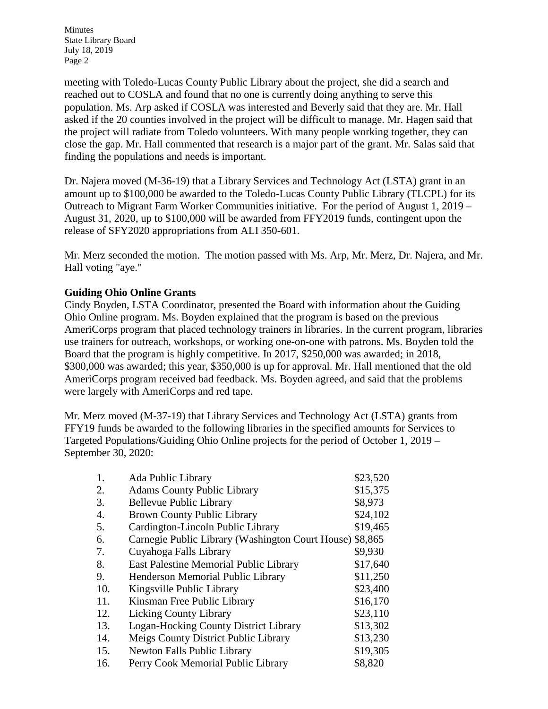meeting with Toledo-Lucas County Public Library about the project, she did a search and reached out to COSLA and found that no one is currently doing anything to serve this population. Ms. Arp asked if COSLA was interested and Beverly said that they are. Mr. Hall asked if the 20 counties involved in the project will be difficult to manage. Mr. Hagen said that the project will radiate from Toledo volunteers. With many people working together, they can close the gap. Mr. Hall commented that research is a major part of the grant. Mr. Salas said that finding the populations and needs is important.

Dr. Najera moved (M-36-19) that a Library Services and Technology Act (LSTA) grant in an amount up to \$100,000 be awarded to the Toledo-Lucas County Public Library (TLCPL) for its Outreach to Migrant Farm Worker Communities initiative. For the period of August 1, 2019 – August 31, 2020, up to \$100,000 will be awarded from FFY2019 funds, contingent upon the release of SFY2020 appropriations from ALI 350-601.

Mr. Merz seconded the motion. The motion passed with Ms. Arp, Mr. Merz, Dr. Najera, and Mr. Hall voting "aye."

# **Guiding Ohio Online Grants**

Cindy Boyden, LSTA Coordinator, presented the Board with information about the Guiding Ohio Online program. Ms. Boyden explained that the program is based on the previous AmeriCorps program that placed technology trainers in libraries. In the current program, libraries use trainers for outreach, workshops, or working one-on-one with patrons. Ms. Boyden told the Board that the program is highly competitive. In 2017, \$250,000 was awarded; in 2018, \$300,000 was awarded; this year, \$350,000 is up for approval. Mr. Hall mentioned that the old AmeriCorps program received bad feedback. Ms. Boyden agreed, and said that the problems were largely with AmeriCorps and red tape.

Mr. Merz moved (M-37-19) that Library Services and Technology Act (LSTA) grants from FFY19 funds be awarded to the following libraries in the specified amounts for Services to Targeted Populations/Guiding Ohio Online projects for the period of October 1, 2019 – September 30, 2020:

| 1.  | Ada Public Library                                       | \$23,520 |
|-----|----------------------------------------------------------|----------|
| 2.  | <b>Adams County Public Library</b>                       | \$15,375 |
| 3.  | <b>Bellevue Public Library</b>                           | \$8,973  |
| 4.  | <b>Brown County Public Library</b>                       | \$24,102 |
| 5.  | Cardington-Lincoln Public Library                        | \$19,465 |
| 6.  | Carnegie Public Library (Washington Court House) \$8,865 |          |
| 7.  | Cuyahoga Falls Library                                   | \$9,930  |
| 8.  | East Palestine Memorial Public Library                   | \$17,640 |
| 9.  | Henderson Memorial Public Library                        | \$11,250 |
| 10. | Kingsville Public Library                                | \$23,400 |
| 11. | Kinsman Free Public Library                              | \$16,170 |
| 12. | <b>Licking County Library</b>                            | \$23,110 |
| 13. | <b>Logan-Hocking County District Library</b>             | \$13,302 |
| 14. | Meigs County District Public Library                     | \$13,230 |
| 15. | <b>Newton Falls Public Library</b>                       | \$19,305 |
| 16. | Perry Cook Memorial Public Library                       | \$8,820  |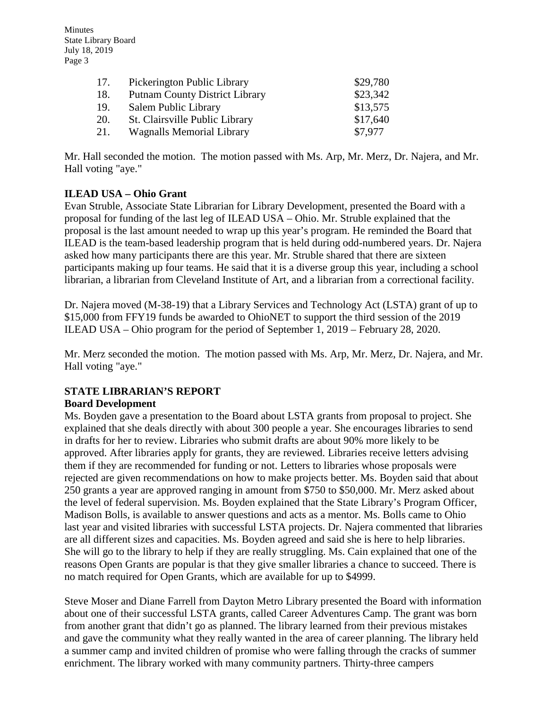| 17. | Pickerington Public Library           | \$29,780 |
|-----|---------------------------------------|----------|
| 18. | <b>Putnam County District Library</b> | \$23,342 |
| 19. | Salem Public Library                  | \$13,575 |
| 20. | St. Clairsville Public Library        | \$17,640 |
| 21. | <b>Wagnalls Memorial Library</b>      | \$7,977  |

Mr. Hall seconded the motion. The motion passed with Ms. Arp, Mr. Merz, Dr. Najera, and Mr. Hall voting "aye."

# **ILEAD USA – Ohio Grant**

Evan Struble, Associate State Librarian for Library Development, presented the Board with a proposal for funding of the last leg of ILEAD USA – Ohio. Mr. Struble explained that the proposal is the last amount needed to wrap up this year's program. He reminded the Board that ILEAD is the team-based leadership program that is held during odd-numbered years. Dr. Najera asked how many participants there are this year. Mr. Struble shared that there are sixteen participants making up four teams. He said that it is a diverse group this year, including a school librarian, a librarian from Cleveland Institute of Art, and a librarian from a correctional facility.

Dr. Najera moved (M-38-19) that a Library Services and Technology Act (LSTA) grant of up to \$15,000 from FFY19 funds be awarded to OhioNET to support the third session of the 2019 ILEAD USA – Ohio program for the period of September 1, 2019 – February 28, 2020.

Mr. Merz seconded the motion. The motion passed with Ms. Arp, Mr. Merz, Dr. Najera, and Mr. Hall voting "aye."

#### **STATE LIBRARIAN'S REPORT Board Development**

Ms. Boyden gave a presentation to the Board about LSTA grants from proposal to project. She explained that she deals directly with about 300 people a year. She encourages libraries to send in drafts for her to review. Libraries who submit drafts are about 90% more likely to be approved. After libraries apply for grants, they are reviewed. Libraries receive letters advising them if they are recommended for funding or not. Letters to libraries whose proposals were rejected are given recommendations on how to make projects better. Ms. Boyden said that about 250 grants a year are approved ranging in amount from \$750 to \$50,000. Mr. Merz asked about the level of federal supervision. Ms. Boyden explained that the State Library's Program Officer, Madison Bolls, is available to answer questions and acts as a mentor. Ms. Bolls came to Ohio last year and visited libraries with successful LSTA projects. Dr. Najera commented that libraries are all different sizes and capacities. Ms. Boyden agreed and said she is here to help libraries. She will go to the library to help if they are really struggling. Ms. Cain explained that one of the reasons Open Grants are popular is that they give smaller libraries a chance to succeed. There is no match required for Open Grants, which are available for up to \$4999.

Steve Moser and Diane Farrell from Dayton Metro Library presented the Board with information about one of their successful LSTA grants, called Career Adventures Camp. The grant was born from another grant that didn't go as planned. The library learned from their previous mistakes and gave the community what they really wanted in the area of career planning. The library held a summer camp and invited children of promise who were falling through the cracks of summer enrichment. The library worked with many community partners. Thirty-three campers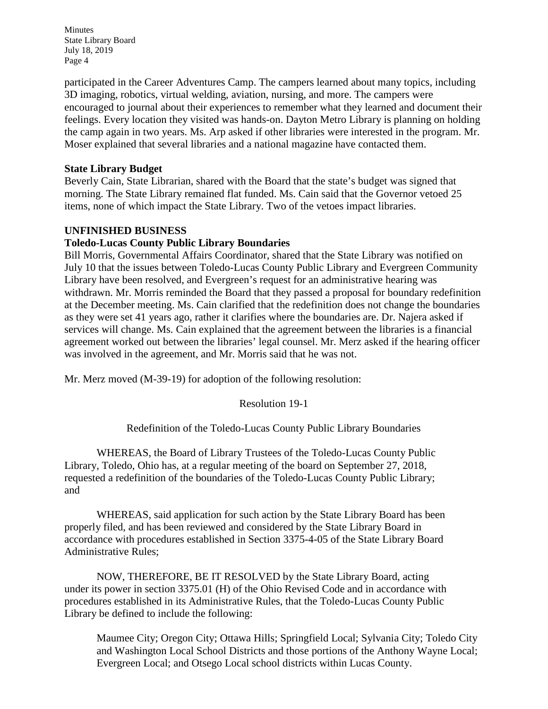participated in the Career Adventures Camp. The campers learned about many topics, including 3D imaging, robotics, virtual welding, aviation, nursing, and more. The campers were encouraged to journal about their experiences to remember what they learned and document their feelings. Every location they visited was hands-on. Dayton Metro Library is planning on holding the camp again in two years. Ms. Arp asked if other libraries were interested in the program. Mr. Moser explained that several libraries and a national magazine have contacted them.

### **State Library Budget**

Beverly Cain, State Librarian, shared with the Board that the state's budget was signed that morning. The State Library remained flat funded. Ms. Cain said that the Governor vetoed 25 items, none of which impact the State Library. Two of the vetoes impact libraries.

### **UNFINISHED BUSINESS**

### **Toledo-Lucas County Public Library Boundaries**

Bill Morris, Governmental Affairs Coordinator, shared that the State Library was notified on July 10 that the issues between Toledo-Lucas County Public Library and Evergreen Community Library have been resolved, and Evergreen's request for an administrative hearing was withdrawn. Mr. Morris reminded the Board that they passed a proposal for boundary redefinition at the December meeting. Ms. Cain clarified that the redefinition does not change the boundaries as they were set 41 years ago, rather it clarifies where the boundaries are. Dr. Najera asked if services will change. Ms. Cain explained that the agreement between the libraries is a financial agreement worked out between the libraries' legal counsel. Mr. Merz asked if the hearing officer was involved in the agreement, and Mr. Morris said that he was not.

Mr. Merz moved (M-39-19) for adoption of the following resolution:

Resolution 19-1

Redefinition of the Toledo-Lucas County Public Library Boundaries

WHEREAS, the Board of Library Trustees of the Toledo-Lucas County Public Library, Toledo, Ohio has, at a regular meeting of the board on September 27, 2018, requested a redefinition of the boundaries of the Toledo-Lucas County Public Library; and

WHEREAS, said application for such action by the State Library Board has been properly filed, and has been reviewed and considered by the State Library Board in accordance with procedures established in Section 3375-4-05 of the State Library Board Administrative Rules;

NOW, THEREFORE, BE IT RESOLVED by the State Library Board, acting under its power in section 3375.01 (H) of the Ohio Revised Code and in accordance with procedures established in its Administrative Rules, that the Toledo-Lucas County Public Library be defined to include the following:

Maumee City; Oregon City; Ottawa Hills; Springfield Local; Sylvania City; Toledo City and Washington Local School Districts and those portions of the Anthony Wayne Local; Evergreen Local; and Otsego Local school districts within Lucas County.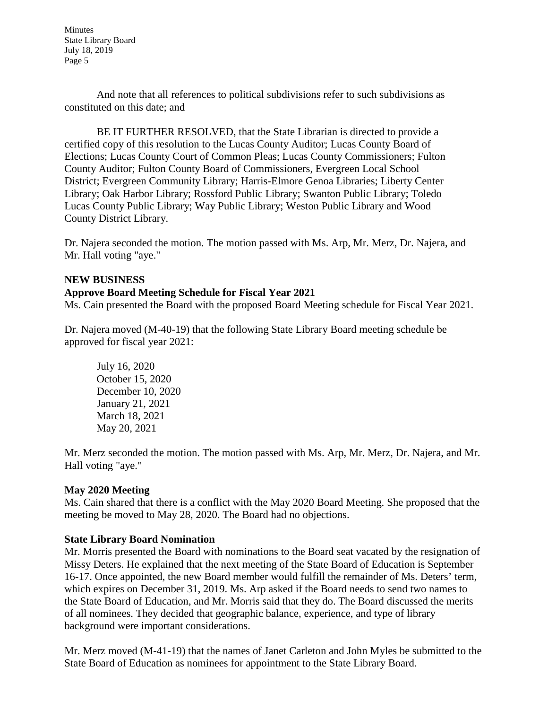And note that all references to political subdivisions refer to such subdivisions as constituted on this date; and

BE IT FURTHER RESOLVED, that the State Librarian is directed to provide a certified copy of this resolution to the Lucas County Auditor; Lucas County Board of Elections; Lucas County Court of Common Pleas; Lucas County Commissioners; Fulton County Auditor; Fulton County Board of Commissioners, Evergreen Local School District; Evergreen Community Library; Harris-Elmore Genoa Libraries; Liberty Center Library; Oak Harbor Library; Rossford Public Library; Swanton Public Library; Toledo Lucas County Public Library; Way Public Library; Weston Public Library and Wood County District Library.

Dr. Najera seconded the motion. The motion passed with Ms. Arp, Mr. Merz, Dr. Najera, and Mr. Hall voting "aye."

### **NEW BUSINESS**

### **Approve Board Meeting Schedule for Fiscal Year 2021**

Ms. Cain presented the Board with the proposed Board Meeting schedule for Fiscal Year 2021.

Dr. Najera moved (M-40-19) that the following State Library Board meeting schedule be approved for fiscal year 2021:

July 16, 2020 October 15, 2020 December 10, 2020 January 21, 2021 March 18, 2021 May 20, 2021

Mr. Merz seconded the motion. The motion passed with Ms. Arp, Mr. Merz, Dr. Najera, and Mr. Hall voting "aye."

### **May 2020 Meeting**

Ms. Cain shared that there is a conflict with the May 2020 Board Meeting. She proposed that the meeting be moved to May 28, 2020. The Board had no objections.

### **State Library Board Nomination**

Mr. Morris presented the Board with nominations to the Board seat vacated by the resignation of Missy Deters. He explained that the next meeting of the State Board of Education is September 16-17. Once appointed, the new Board member would fulfill the remainder of Ms. Deters' term, which expires on December 31, 2019. Ms. Arp asked if the Board needs to send two names to the State Board of Education, and Mr. Morris said that they do. The Board discussed the merits of all nominees. They decided that geographic balance, experience, and type of library background were important considerations.

Mr. Merz moved (M-41-19) that the names of Janet Carleton and John Myles be submitted to the State Board of Education as nominees for appointment to the State Library Board.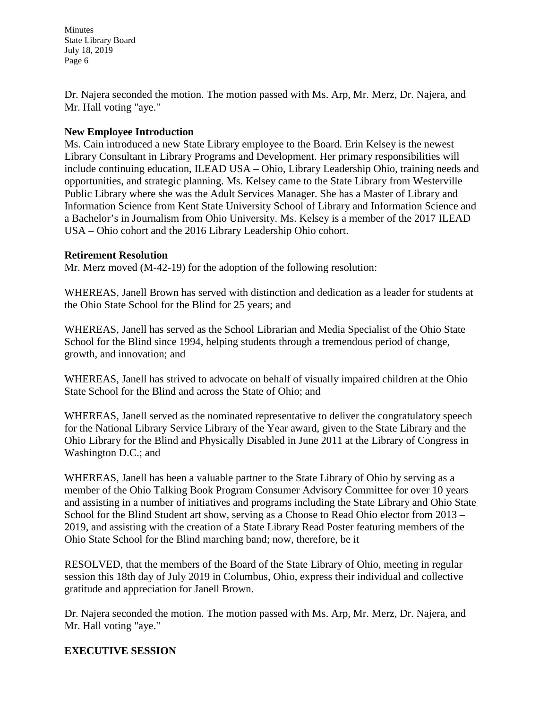Dr. Najera seconded the motion. The motion passed with Ms. Arp, Mr. Merz, Dr. Najera, and Mr. Hall voting "aye."

### **New Employee Introduction**

Ms. Cain introduced a new State Library employee to the Board. Erin Kelsey is the newest Library Consultant in Library Programs and Development. Her primary responsibilities will include continuing education, ILEAD USA – Ohio, Library Leadership Ohio, training needs and opportunities, and strategic planning. Ms. Kelsey came to the State Library from Westerville Public Library where she was the Adult Services Manager. She has a Master of Library and Information Science from Kent State University School of Library and Information Science and a Bachelor's in Journalism from Ohio University. Ms. Kelsey is a member of the 2017 ILEAD USA – Ohio cohort and the 2016 Library Leadership Ohio cohort.

### **Retirement Resolution**

Mr. Merz moved (M-42-19) for the adoption of the following resolution:

WHEREAS, Janell Brown has served with distinction and dedication as a leader for students at the Ohio State School for the Blind for 25 years; and

WHEREAS, Janell has served as the School Librarian and Media Specialist of the Ohio State School for the Blind since 1994, helping students through a tremendous period of change, growth, and innovation; and

WHEREAS, Janell has strived to advocate on behalf of visually impaired children at the Ohio State School for the Blind and across the State of Ohio; and

WHEREAS, Janell served as the nominated representative to deliver the congratulatory speech for the National Library Service Library of the Year award, given to the State Library and the Ohio Library for the Blind and Physically Disabled in June 2011 at the Library of Congress in Washington D.C.; and

WHEREAS, Janell has been a valuable partner to the State Library of Ohio by serving as a member of the Ohio Talking Book Program Consumer Advisory Committee for over 10 years and assisting in a number of initiatives and programs including the State Library and Ohio State School for the Blind Student art show, serving as a Choose to Read Ohio elector from 2013 – 2019, and assisting with the creation of a State Library Read Poster featuring members of the Ohio State School for the Blind marching band; now, therefore, be it

RESOLVED, that the members of the Board of the State Library of Ohio, meeting in regular session this 18th day of July 2019 in Columbus, Ohio, express their individual and collective gratitude and appreciation for Janell Brown.

Dr. Najera seconded the motion. The motion passed with Ms. Arp, Mr. Merz, Dr. Najera, and Mr. Hall voting "aye."

# **EXECUTIVE SESSION**